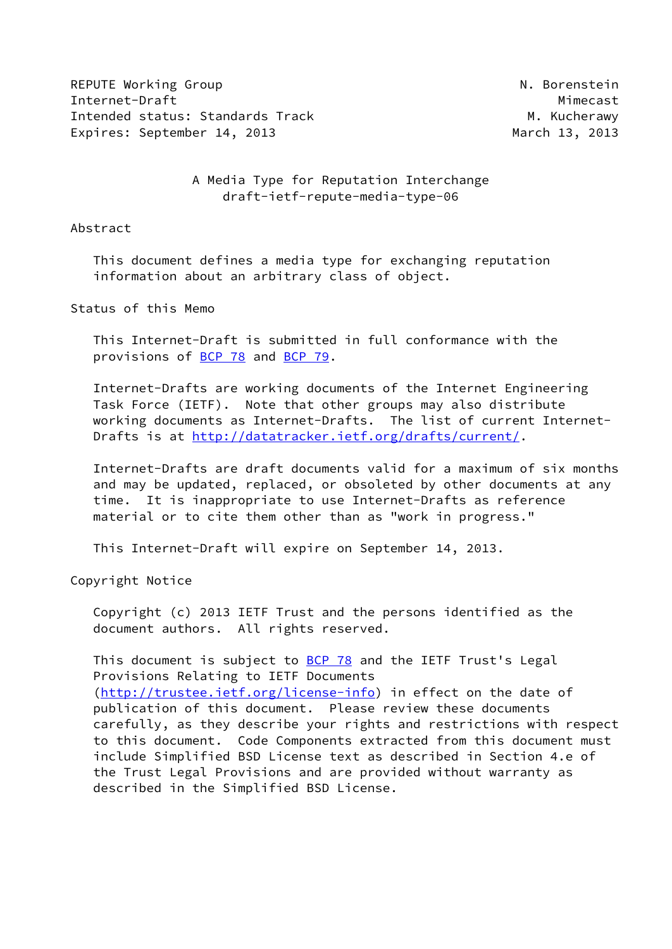REPUTE Working Group N. Borenstein Internet-Draft Mimecast Intended status: Standards Track M. Kucherawy Expires: September 14, 2013 March 13, 2013

 A Media Type for Reputation Interchange draft-ietf-repute-media-type-06

#### Abstract

 This document defines a media type for exchanging reputation information about an arbitrary class of object.

#### Status of this Memo

 This Internet-Draft is submitted in full conformance with the provisions of [BCP 78](https://datatracker.ietf.org/doc/pdf/bcp78) and [BCP 79](https://datatracker.ietf.org/doc/pdf/bcp79).

 Internet-Drafts are working documents of the Internet Engineering Task Force (IETF). Note that other groups may also distribute working documents as Internet-Drafts. The list of current Internet- Drafts is at<http://datatracker.ietf.org/drafts/current/>.

 Internet-Drafts are draft documents valid for a maximum of six months and may be updated, replaced, or obsoleted by other documents at any time. It is inappropriate to use Internet-Drafts as reference material or to cite them other than as "work in progress."

This Internet-Draft will expire on September 14, 2013.

Copyright Notice

 Copyright (c) 2013 IETF Trust and the persons identified as the document authors. All rights reserved.

This document is subject to  $BCP$  78 and the IETF Trust's Legal Provisions Relating to IETF Documents [\(http://trustee.ietf.org/license-info](http://trustee.ietf.org/license-info)) in effect on the date of publication of this document. Please review these documents carefully, as they describe your rights and restrictions with respect to this document. Code Components extracted from this document must include Simplified BSD License text as described in Section 4.e of the Trust Legal Provisions and are provided without warranty as described in the Simplified BSD License.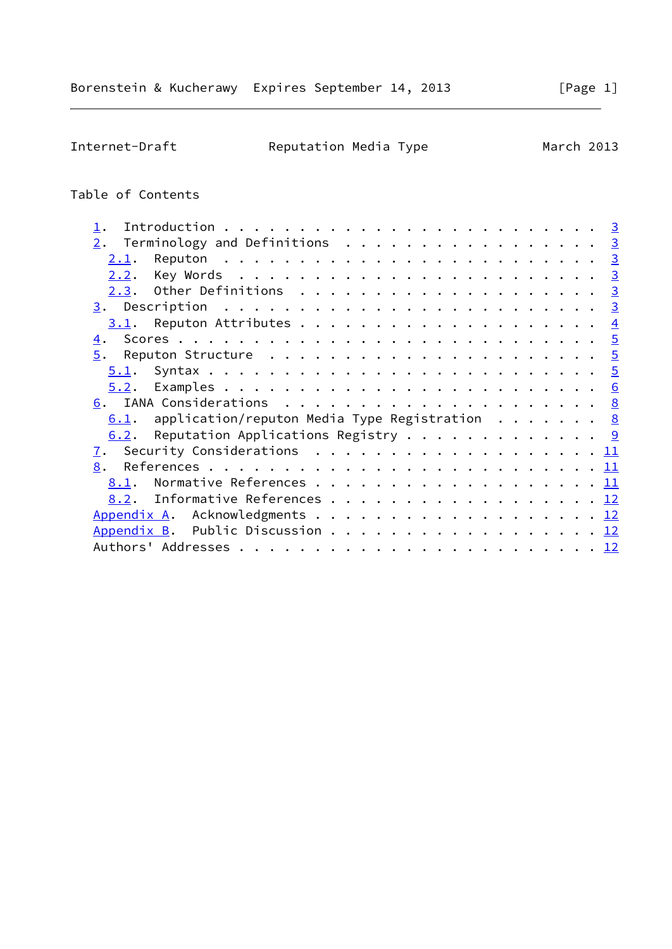Internet-Draft **Reputation Media Type** March 2013

# Table of Contents

| $\underline{2}$ . Terminology and Definitions 3                                          |  |
|------------------------------------------------------------------------------------------|--|
| 2.1.                                                                                     |  |
|                                                                                          |  |
| Other Definitions $\ldots \ldots \ldots \ldots \ldots \ldots \ldots \frac{3}{2}$<br>2.3. |  |
|                                                                                          |  |
|                                                                                          |  |
| <u>4</u> .                                                                               |  |
| 5.<br>Reputon Structure $\dots\ldots\ldots\ldots\ldots\ldots\ldots\ldots\frac{5}{2}$     |  |
|                                                                                          |  |
|                                                                                          |  |
|                                                                                          |  |
| application/reputon Media Type Registration <u>8</u><br>6.1.                             |  |
| 6.2. Reputation Applications Registry 9                                                  |  |
| 7.                                                                                       |  |
| 8.                                                                                       |  |
| 8.1.                                                                                     |  |
| Informative References 12<br>8.2.                                                        |  |
| Appendix A. Acknowledgments 12                                                           |  |
| Appendix B. Public Discussion 12                                                         |  |
|                                                                                          |  |
|                                                                                          |  |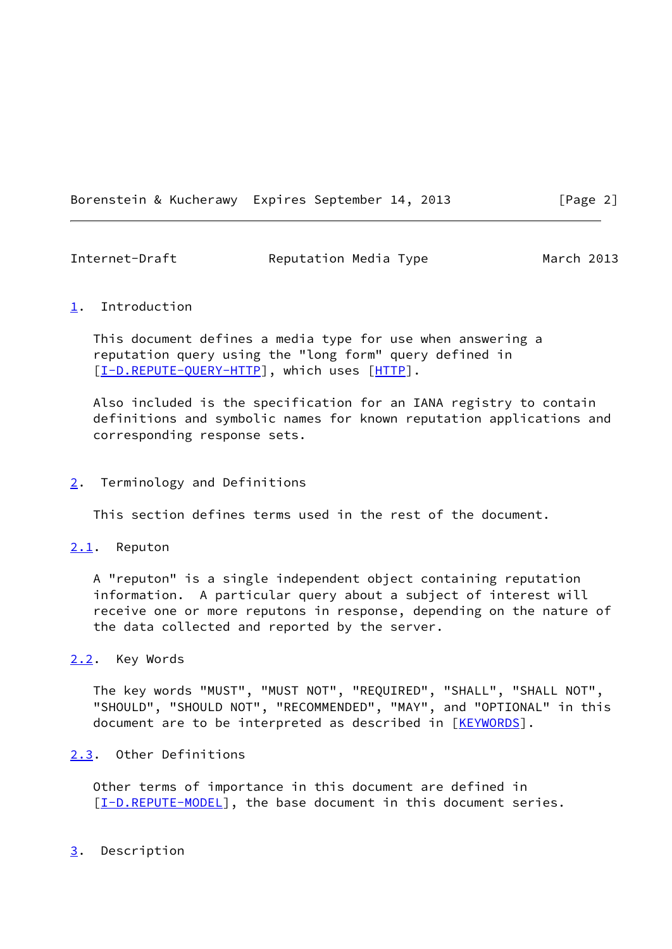Borenstein & Kucherawy Expires September 14, 2013 [Page 2]

<span id="page-2-1"></span>

| Internet-Draft | Reputation Media Type | March 2013 |
|----------------|-----------------------|------------|
|                |                       |            |

### <span id="page-2-0"></span>[1](#page-2-0). Introduction

 This document defines a media type for use when answering a reputation query using the "long form" query defined in [\[I-D.REPUTE-QUERY-HTTP](#page-12-2)], which uses [\[HTTP](#page-12-3)].

 Also included is the specification for an IANA registry to contain definitions and symbolic names for known reputation applications and corresponding response sets.

#### <span id="page-2-2"></span>[2](#page-2-2). Terminology and Definitions

This section defines terms used in the rest of the document.

#### <span id="page-2-3"></span>[2.1](#page-2-3). Reputon

 A "reputon" is a single independent object containing reputation information. A particular query about a subject of interest will receive one or more reputons in response, depending on the nature of the data collected and reported by the server.

## <span id="page-2-4"></span>[2.2](#page-2-4). Key Words

 The key words "MUST", "MUST NOT", "REQUIRED", "SHALL", "SHALL NOT", "SHOULD", "SHOULD NOT", "RECOMMENDED", "MAY", and "OPTIONAL" in this document are to be interpreted as described in [\[KEYWORDS](#page-12-4)].

## <span id="page-2-5"></span>[2.3](#page-2-5). Other Definitions

 Other terms of importance in this document are defined in [\[I-D.REPUTE-MODEL](#page-11-4)], the base document in this document series.

#### <span id="page-2-6"></span>[3](#page-2-6). Description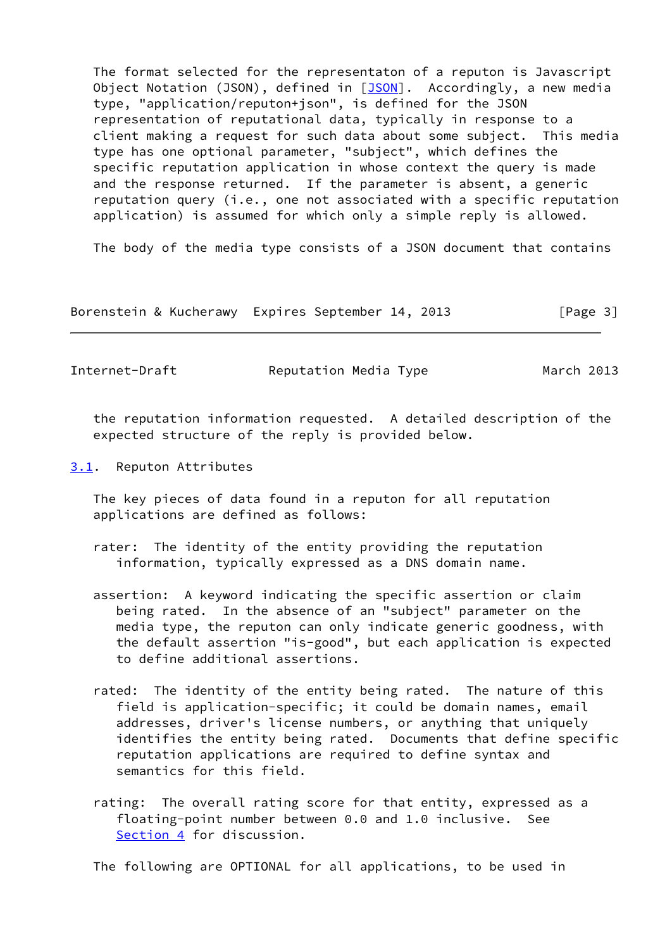The format selected for the representaton of a reputon is Javascript Object Notation (JSON), defined in [[JSON\]](#page-12-5). Accordingly, a new media type, "application/reputon+json", is defined for the JSON representation of reputational data, typically in response to a client making a request for such data about some subject. This media type has one optional parameter, "subject", which defines the specific reputation application in whose context the query is made and the response returned. If the parameter is absent, a generic reputation query (i.e., one not associated with a specific reputation application) is assumed for which only a simple reply is allowed.

The body of the media type consists of a JSON document that contains

Borenstein & Kucherawy Expires September 14, 2013 [Page 3]

<span id="page-3-1"></span>Internet-Draft Reputation Media Type March 2013

 the reputation information requested. A detailed description of the expected structure of the reply is provided below.

<span id="page-3-0"></span>[3.1](#page-3-0). Reputon Attributes

 The key pieces of data found in a reputon for all reputation applications are defined as follows:

- rater: The identity of the entity providing the reputation information, typically expressed as a DNS domain name.
- assertion: A keyword indicating the specific assertion or claim being rated. In the absence of an "subject" parameter on the media type, the reputon can only indicate generic goodness, with the default assertion "is-good", but each application is expected to define additional assertions.
- rated: The identity of the entity being rated. The nature of this field is application-specific; it could be domain names, email addresses, driver's license numbers, or anything that uniquely identifies the entity being rated. Documents that define specific reputation applications are required to define syntax and semantics for this field.
- rating: The overall rating score for that entity, expressed as a floating-point number between 0.0 and 1.0 inclusive. See [Section 4](#page-4-0) for discussion.

The following are OPTIONAL for all applications, to be used in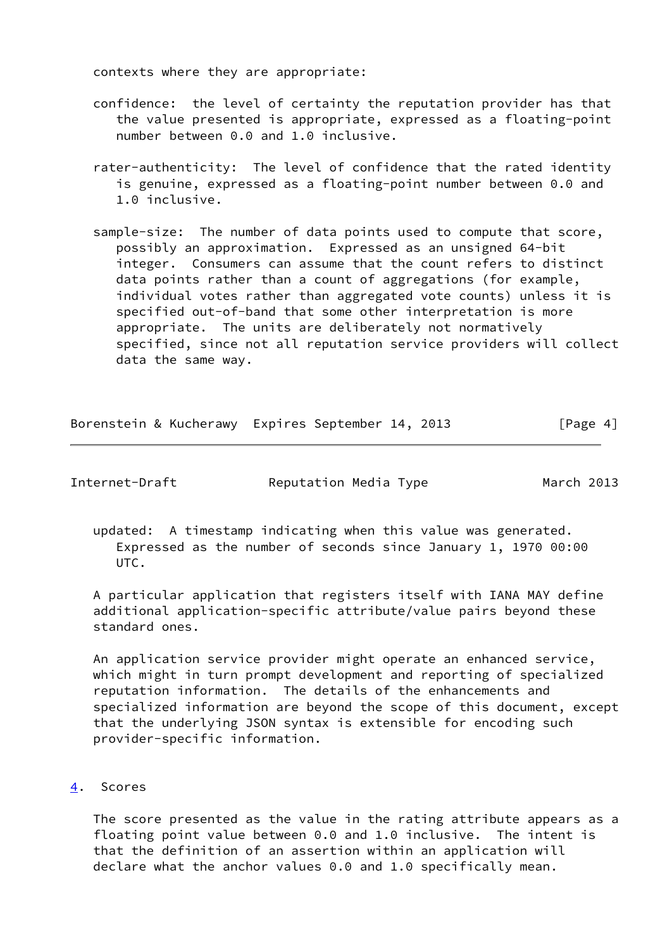contexts where they are appropriate:

- confidence: the level of certainty the reputation provider has that the value presented is appropriate, expressed as a floating-point number between 0.0 and 1.0 inclusive.
- rater-authenticity: The level of confidence that the rated identity is genuine, expressed as a floating-point number between 0.0 and 1.0 inclusive.
- sample-size: The number of data points used to compute that score, possibly an approximation. Expressed as an unsigned 64-bit integer. Consumers can assume that the count refers to distinct data points rather than a count of aggregations (for example, individual votes rather than aggregated vote counts) unless it is specified out-of-band that some other interpretation is more appropriate. The units are deliberately not normatively specified, since not all reputation service providers will collect data the same way.

| Borenstein & Kucherawy Expires September 14, 2013 |  |  | [Page 4] |
|---------------------------------------------------|--|--|----------|
|                                                   |  |  |          |

<span id="page-4-1"></span>Internet-Draft Reputation Media Type March 2013

 updated: A timestamp indicating when this value was generated. Expressed as the number of seconds since January 1, 1970 00:00 UTC.

 A particular application that registers itself with IANA MAY define additional application-specific attribute/value pairs beyond these standard ones.

 An application service provider might operate an enhanced service, which might in turn prompt development and reporting of specialized reputation information. The details of the enhancements and specialized information are beyond the scope of this document, except that the underlying JSON syntax is extensible for encoding such provider-specific information.

#### <span id="page-4-0"></span>[4](#page-4-0). Scores

 The score presented as the value in the rating attribute appears as a floating point value between 0.0 and 1.0 inclusive. The intent is that the definition of an assertion within an application will declare what the anchor values 0.0 and 1.0 specifically mean.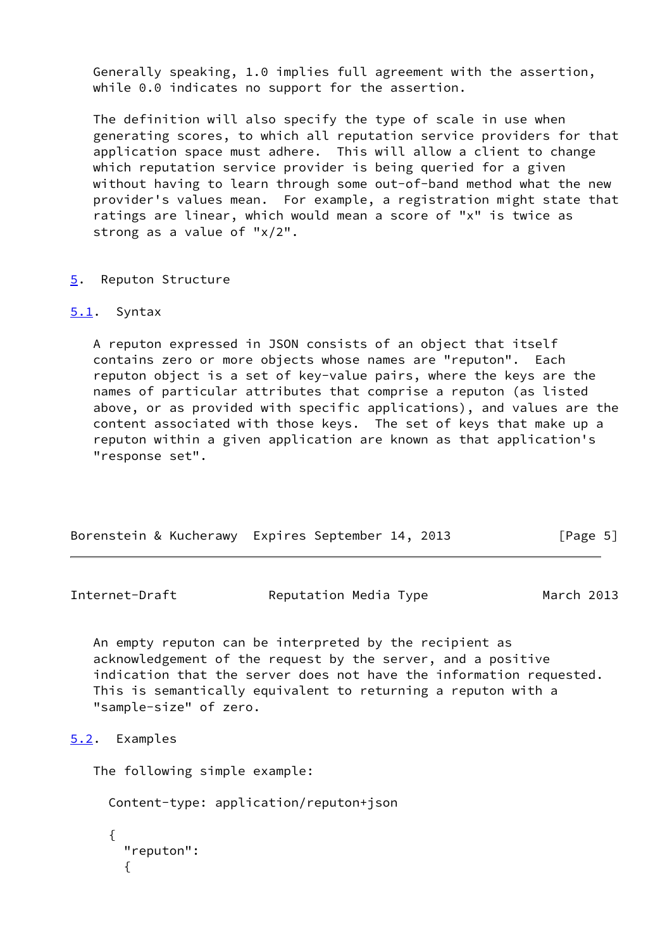Generally speaking, 1.0 implies full agreement with the assertion, while 0.0 indicates no support for the assertion.

 The definition will also specify the type of scale in use when generating scores, to which all reputation service providers for that application space must adhere. This will allow a client to change which reputation service provider is being queried for a given without having to learn through some out-of-band method what the new provider's values mean. For example, a registration might state that ratings are linear, which would mean a score of "x" is twice as strong as a value of "x/2".

#### <span id="page-5-0"></span>[5](#page-5-0). Reputon Structure

#### <span id="page-5-1"></span>[5.1](#page-5-1). Syntax

 A reputon expressed in JSON consists of an object that itself contains zero or more objects whose names are "reputon". Each reputon object is a set of key-value pairs, where the keys are the names of particular attributes that comprise a reputon (as listed above, or as provided with specific applications), and values are the content associated with those keys. The set of keys that make up a reputon within a given application are known as that application's "response set".

| Borenstein & Kucherawy Expires September 14, 2013 |  |  | [Page 5] |
|---------------------------------------------------|--|--|----------|
|                                                   |  |  |          |

<span id="page-5-3"></span>Internet-Draft Reputation Media Type March 2013

 An empty reputon can be interpreted by the recipient as acknowledgement of the request by the server, and a positive indication that the server does not have the information requested. This is semantically equivalent to returning a reputon with a "sample-size" of zero.

# <span id="page-5-2"></span>[5.2](#page-5-2). Examples

The following simple example:

Content-type: application/reputon+json

```
 {
  "reputon":
  {
```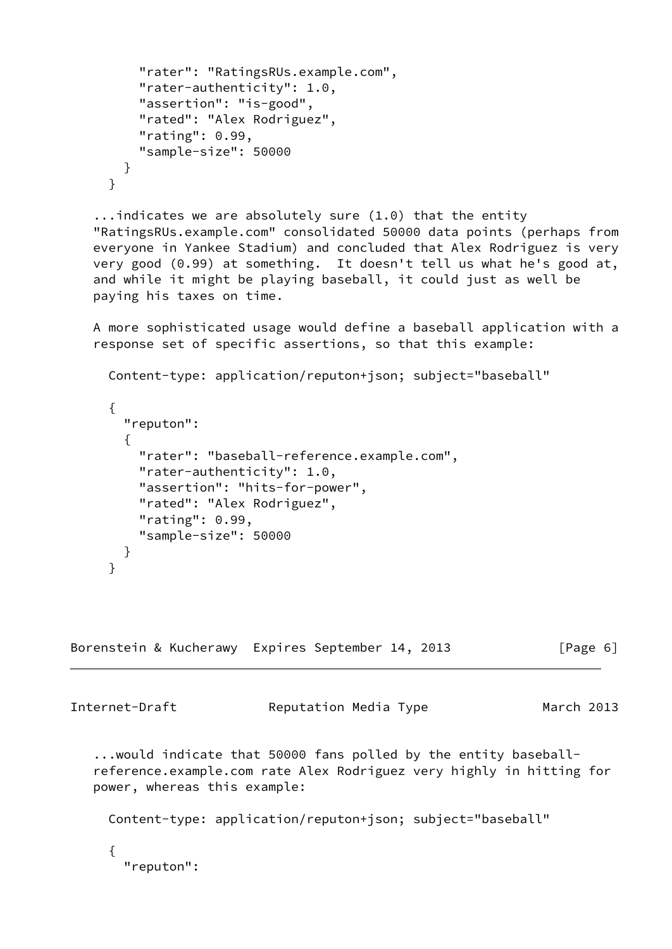```
 "rater": "RatingsRUs.example.com",
    "rater-authenticity": 1.0,
    "assertion": "is-good",
    "rated": "Alex Rodriguez",
    "rating": 0.99,
    "sample-size": 50000
  }
}
```
 ...indicates we are absolutely sure (1.0) that the entity "RatingsRUs.example.com" consolidated 50000 data points (perhaps from everyone in Yankee Stadium) and concluded that Alex Rodriguez is very very good (0.99) at something. It doesn't tell us what he's good at, and while it might be playing baseball, it could just as well be paying his taxes on time.

 A more sophisticated usage would define a baseball application with a response set of specific assertions, so that this example:

```
 Content-type: application/reputon+json; subject="baseball"
{
  "reputon":
  {
    "rater": "baseball-reference.example.com",
    "rater-authenticity": 1.0,
    "assertion": "hits-for-power",
    "rated": "Alex Rodriguez",
    "rating": 0.99,
    "sample-size": 50000
 }
}
```
Borenstein & Kucherawy Expires September 14, 2013 [Page 6]

Internet-Draft Reputation Media Type March 2013

 ...would indicate that 50000 fans polled by the entity baseball reference.example.com rate Alex Rodriguez very highly in hitting for power, whereas this example:

Content-type: application/reputon+json; subject="baseball"

 { "reputon":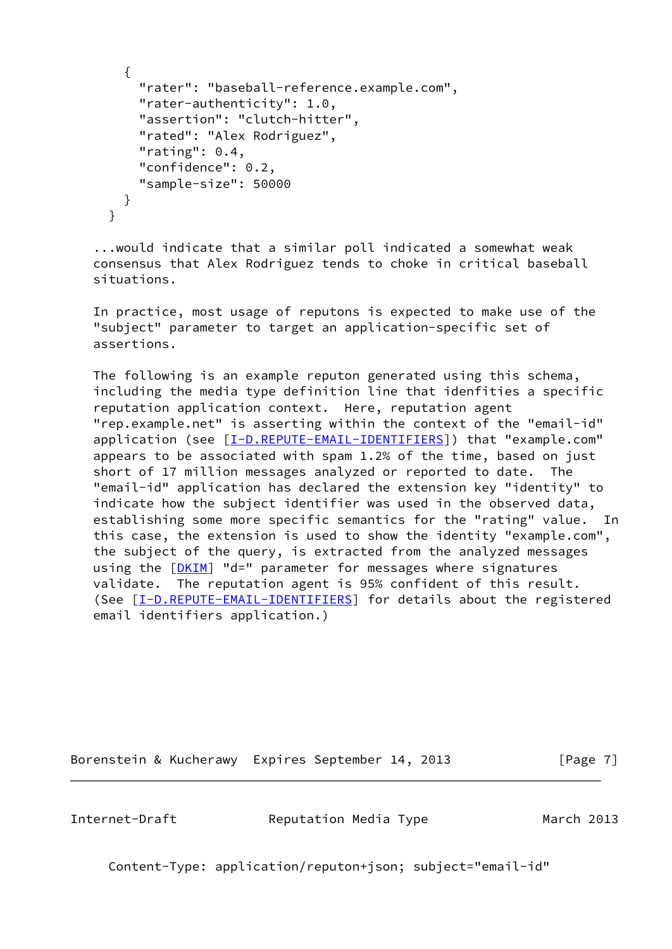```
 {
    "rater": "baseball-reference.example.com",
    "rater-authenticity": 1.0,
    "assertion": "clutch-hitter",
    "rated": "Alex Rodriguez",
    "rating": 0.4,
    "confidence": 0.2,
    "sample-size": 50000
  }
}
```
 ...would indicate that a similar poll indicated a somewhat weak consensus that Alex Rodriguez tends to choke in critical baseball situations.

 In practice, most usage of reputons is expected to make use of the "subject" parameter to target an application-specific set of assertions.

 The following is an example reputon generated using this schema, including the media type definition line that idenfities a specific reputation application context. Here, reputation agent "rep.example.net" is asserting within the context of the "email-id" application (see [\[I-D.REPUTE-EMAIL-IDENTIFIERS](#page-12-6)]) that "example.com" appears to be associated with spam 1.2% of the time, based on just short of 17 million messages analyzed or reported to date. The "email-id" application has declared the extension key "identity" to indicate how the subject identifier was used in the observed data, establishing some more specific semantics for the "rating" value. In this case, the extension is used to show the identity "example.com", the subject of the query, is extracted from the analyzed messages using the [[DKIM\]](#page-12-7) "d=" parameter for messages where signatures validate. The reputation agent is 95% confident of this result. (See [\[I-D.REPUTE-EMAIL-IDENTIFIERS](#page-12-6)] for details about the registered email identifiers application.)

Borenstein & Kucherawy Expires September 14, 2013 [Page 7]

<span id="page-7-0"></span>

Internet-Draft Reputation Media Type March 2013

Content-Type: application/reputon+json; subject="email-id"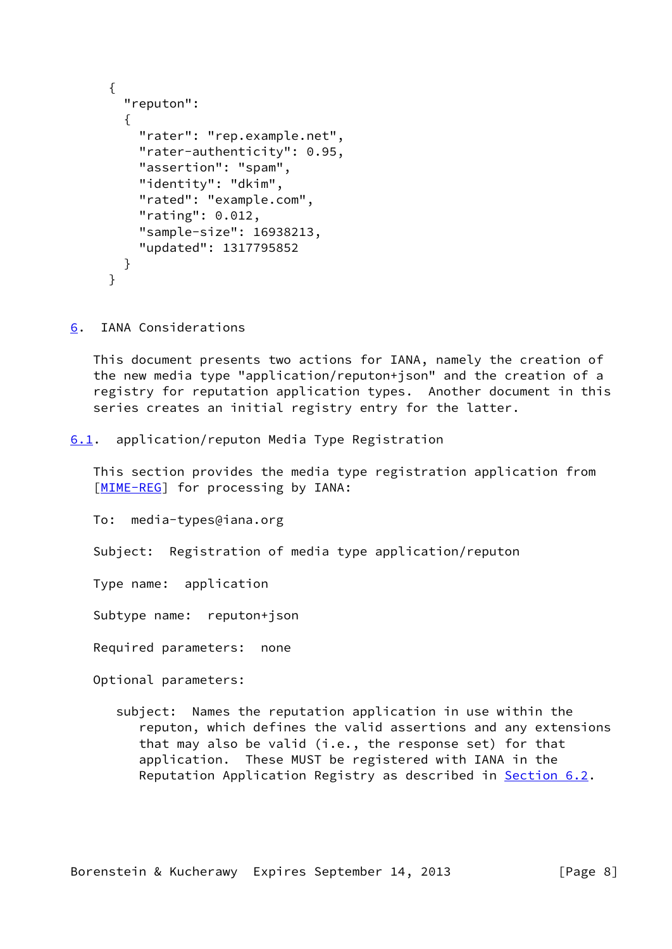```
 {
  "reputon":
  {
    "rater": "rep.example.net",
    "rater-authenticity": 0.95,
    "assertion": "spam",
    "identity": "dkim",
    "rated": "example.com",
    "rating": 0.012,
    "sample-size": 16938213,
    "updated": 1317795852
  }
}
```
<span id="page-8-0"></span>[6](#page-8-0). IANA Considerations

 This document presents two actions for IANA, namely the creation of the new media type "application/reputon+json" and the creation of a registry for reputation application types. Another document in this series creates an initial registry entry for the latter.

<span id="page-8-1"></span>[6.1](#page-8-1). application/reputon Media Type Registration

 This section provides the media type registration application from [\[MIME-REG](#page-13-2)] for processing by IANA:

To: media-types@iana.org

Subject: Registration of media type application/reputon

Type name: application

Subtype name: reputon+json

Required parameters: none

Optional parameters:

 subject: Names the reputation application in use within the reputon, which defines the valid assertions and any extensions that may also be valid (i.e., the response set) for that application. These MUST be registered with IANA in the Reputation Application Registry as described in [Section 6.2](#page-9-0).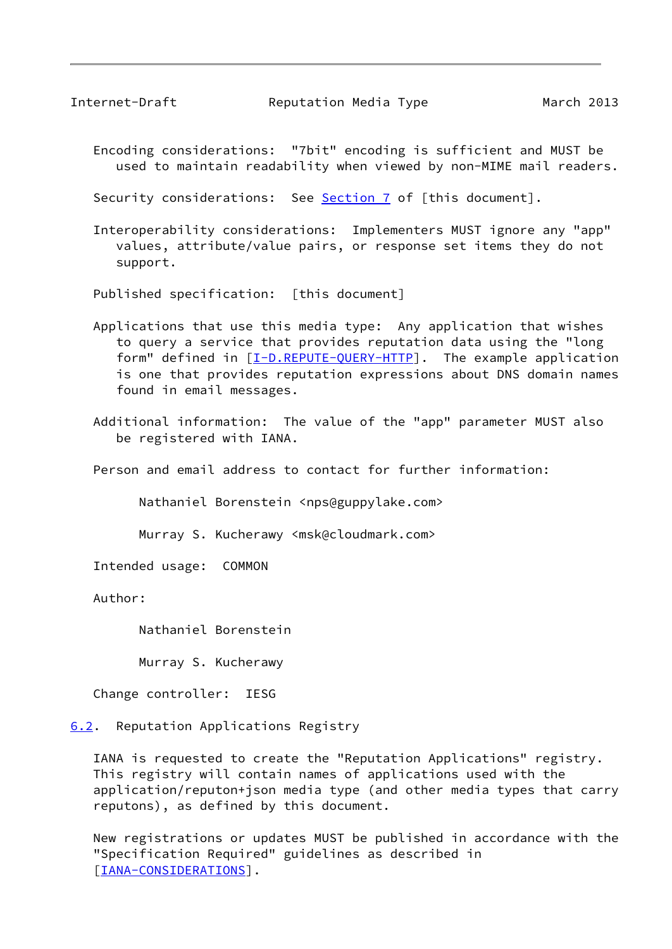<span id="page-9-1"></span>Internet-Draft Reputation Media Type March 2013

 Encoding considerations: "7bit" encoding is sufficient and MUST be used to maintain readability when viewed by non-MIME mail readers.

Security considerations: See [Section 7](#page-11-0) of [this document].

 Interoperability considerations: Implementers MUST ignore any "app" values, attribute/value pairs, or response set items they do not support.

Published specification: [this document]

- Applications that use this media type: Any application that wishes to query a service that provides reputation data using the "long form" defined in [\[I-D.REPUTE-QUERY-HTTP](#page-12-2)]. The example application is one that provides reputation expressions about DNS domain names found in email messages.
- Additional information: The value of the "app" parameter MUST also be registered with IANA.

Person and email address to contact for further information:

Nathaniel Borenstein <nps@guppylake.com>

Murray S. Kucherawy <msk@cloudmark.com>

Intended usage: COMMON

Author:

Nathaniel Borenstein

Murray S. Kucherawy

Change controller: IESG

<span id="page-9-0"></span>[6.2](#page-9-0). Reputation Applications Registry

 IANA is requested to create the "Reputation Applications" registry. This registry will contain names of applications used with the application/reputon+json media type (and other media types that carry reputons), as defined by this document.

 New registrations or updates MUST be published in accordance with the "Specification Required" guidelines as described in [\[IANA-CONSIDERATIONS](#page-12-8)].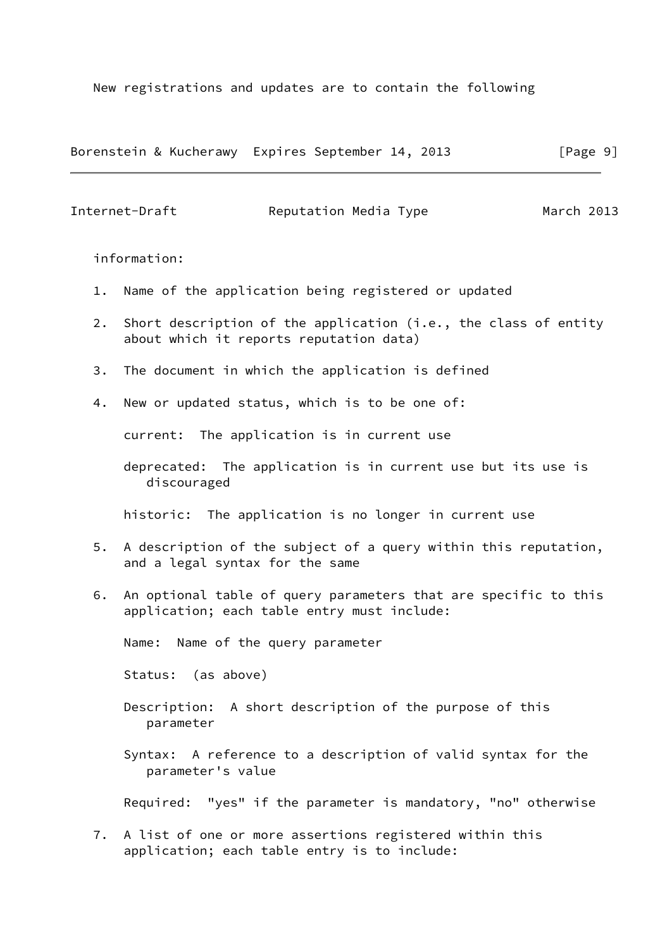New registrations and updates are to contain the following

Borenstein & Kucherawy Expires September 14, 2013 [Page 9]

Internet-Draft Reputation Media Type March 2013

information:

- 1. Name of the application being registered or updated
- 2. Short description of the application (i.e., the class of entity about which it reports reputation data)
- 3. The document in which the application is defined
- 4. New or updated status, which is to be one of:

current: The application is in current use

 deprecated: The application is in current use but its use is discouraged

historic: The application is no longer in current use

- 5. A description of the subject of a query within this reputation, and a legal syntax for the same
- 6. An optional table of query parameters that are specific to this application; each table entry must include:

Name: Name of the query parameter

Status: (as above)

- Description: A short description of the purpose of this parameter
- Syntax: A reference to a description of valid syntax for the parameter's value

Required: "yes" if the parameter is mandatory, "no" otherwise

 7. A list of one or more assertions registered within this application; each table entry is to include: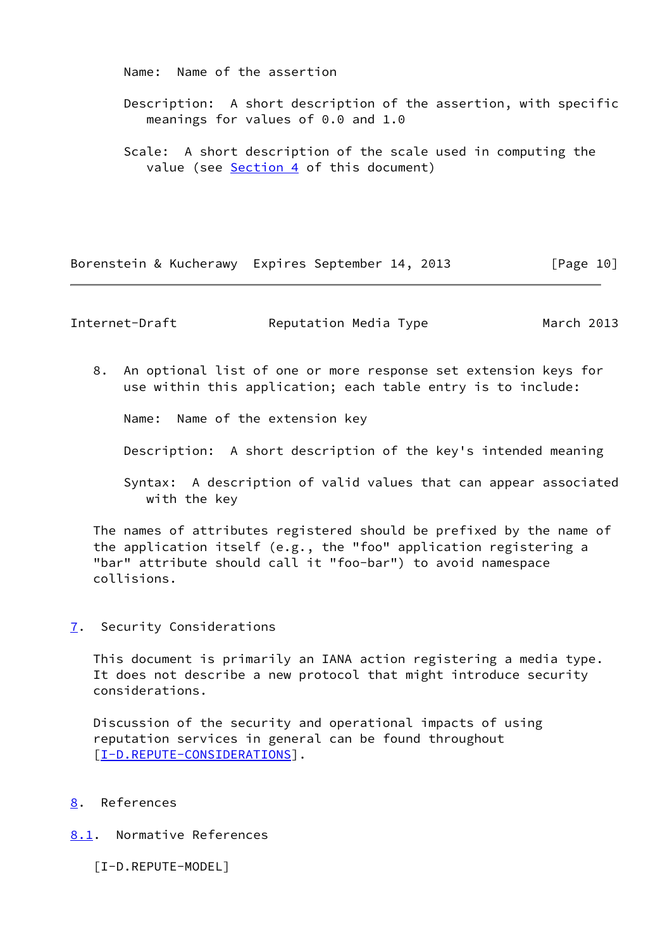Name: Name of the assertion

- Description: A short description of the assertion, with specific meanings for values of 0.0 and 1.0
- Scale: A short description of the scale used in computing the value (see [Section 4](#page-4-0) of this document)

Borenstein & Kucherawy Expires September 14, 2013 [Page 10]

<span id="page-11-1"></span>Internet-Draft Reputation Media Type March 2013

 8. An optional list of one or more response set extension keys for use within this application; each table entry is to include:

Name: Name of the extension key

Description: A short description of the key's intended meaning

 Syntax: A description of valid values that can appear associated with the key

 The names of attributes registered should be prefixed by the name of the application itself (e.g., the "foo" application registering a "bar" attribute should call it "foo-bar") to avoid namespace collisions.

<span id="page-11-0"></span>[7](#page-11-0). Security Considerations

 This document is primarily an IANA action registering a media type. It does not describe a new protocol that might introduce security considerations.

 Discussion of the security and operational impacts of using reputation services in general can be found throughout [\[I-D.REPUTE-CONSIDERATIONS](#page-12-9)].

- <span id="page-11-2"></span>[8](#page-11-2). References
- <span id="page-11-4"></span><span id="page-11-3"></span>[8.1](#page-11-3). Normative References
	- [I-D.REPUTE-MODEL]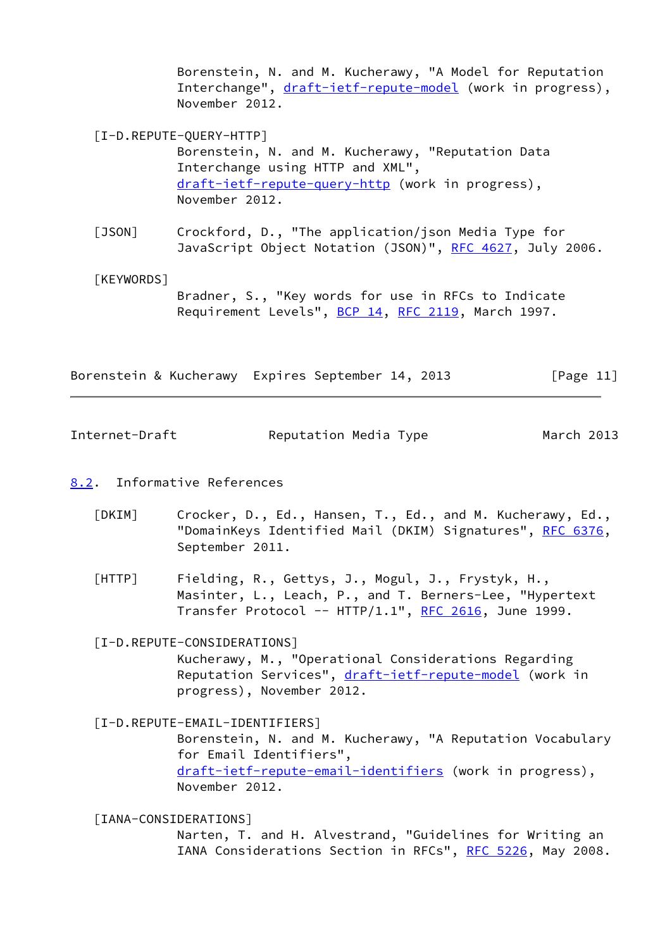Borenstein, N. and M. Kucherawy, "A Model for Reputation Interchange", [draft-ietf-repute-model](https://datatracker.ietf.org/doc/pdf/draft-ietf-repute-model) (work in progress), November 2012.

- <span id="page-12-2"></span> [I-D.REPUTE-QUERY-HTTP] Borenstein, N. and M. Kucherawy, "Reputation Data Interchange using HTTP and XML", [draft-ietf-repute-query-http](https://datatracker.ietf.org/doc/pdf/draft-ietf-repute-query-http) (work in progress), November 2012.
- <span id="page-12-5"></span> [JSON] Crockford, D., "The application/json Media Type for JavaScript Object Notation (JSON)", [RFC 4627,](https://datatracker.ietf.org/doc/pdf/rfc4627) July 2006.
- <span id="page-12-4"></span> [KEYWORDS] Bradner, S., "Key words for use in RFCs to Indicate Requirement Levels", [BCP 14](https://datatracker.ietf.org/doc/pdf/bcp14), [RFC 2119](https://datatracker.ietf.org/doc/pdf/rfc2119), March 1997.

Borenstein & Kucherawy Expires September 14, 2013 [Page 11]

<span id="page-12-1"></span>Internet-Draft Reputation Media Type March 2013

# <span id="page-12-0"></span>[8.2](#page-12-0). Informative References

- <span id="page-12-7"></span> [DKIM] Crocker, D., Ed., Hansen, T., Ed., and M. Kucherawy, Ed., "DomainKeys Identified Mail (DKIM) Signatures", [RFC 6376,](https://datatracker.ietf.org/doc/pdf/rfc6376) September 2011.
- <span id="page-12-3"></span> [HTTP] Fielding, R., Gettys, J., Mogul, J., Frystyk, H., Masinter, L., Leach, P., and T. Berners-Lee, "Hypertext Transfer Protocol --  $HTTP/1.1$ ", [RFC 2616,](https://datatracker.ietf.org/doc/pdf/rfc2616) June 1999.

# <span id="page-12-9"></span>[I-D.REPUTE-CONSIDERATIONS]

 Kucherawy, M., "Operational Considerations Regarding Reputation Services", [draft-ietf-repute-model](https://datatracker.ietf.org/doc/pdf/draft-ietf-repute-model) (work in progress), November 2012.

### <span id="page-12-6"></span>[I-D.REPUTE-EMAIL-IDENTIFIERS]

 Borenstein, N. and M. Kucherawy, "A Reputation Vocabulary for Email Identifiers", [draft-ietf-repute-email-identifiers](https://datatracker.ietf.org/doc/pdf/draft-ietf-repute-email-identifiers) (work in progress), November 2012.

<span id="page-12-8"></span>[IANA-CONSIDERATIONS]

 Narten, T. and H. Alvestrand, "Guidelines for Writing an IANA Considerations Section in RFCs", [RFC 5226](https://datatracker.ietf.org/doc/pdf/rfc5226), May 2008.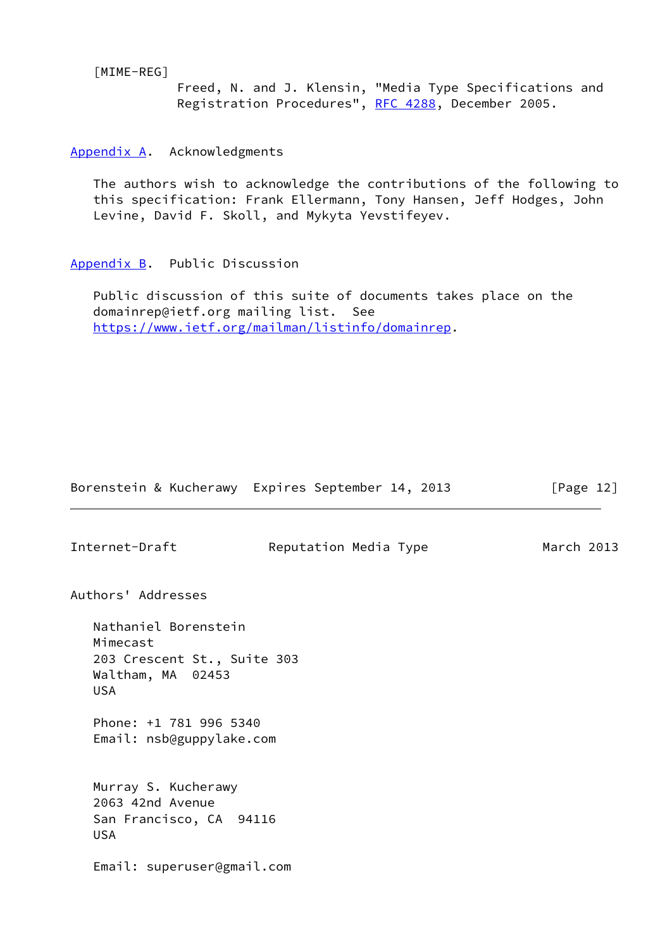<span id="page-13-2"></span>[MIME-REG]

 Freed, N. and J. Klensin, "Media Type Specifications and Registration Procedures", [RFC 4288](https://datatracker.ietf.org/doc/pdf/rfc4288), December 2005.

<span id="page-13-0"></span>[Appendix A.](#page-13-0) Acknowledgments

 The authors wish to acknowledge the contributions of the following to this specification: Frank Ellermann, Tony Hansen, Jeff Hodges, John Levine, David F. Skoll, and Mykyta Yevstifeyev.

<span id="page-13-1"></span>[Appendix B.](#page-13-1) Public Discussion

 Public discussion of this suite of documents takes place on the domainrep@ietf.org mailing list. See <https://www.ietf.org/mailman/listinfo/domainrep>.

| Internet-Draft                                                                                     | Reputation Media Type | March 2013 |
|----------------------------------------------------------------------------------------------------|-----------------------|------------|
| Authors' Addresses                                                                                 |                       |            |
| Nathaniel Borenstein<br>Mimecast<br>203 Crescent St., Suite 303<br>Waltham, MA 02453<br><b>USA</b> |                       |            |
| Phone: +1 781 996 5340<br>Email: nsb@guppylake.com                                                 |                       |            |
| Murray S. Kucherawy<br>2063 42nd Avenue<br>San Francisco, CA 94116<br><b>USA</b>                   |                       |            |
| Email: superuser@gmail.com                                                                         |                       |            |

Borenstein & Kucherawy Expires September 14, 2013 [Page 12]